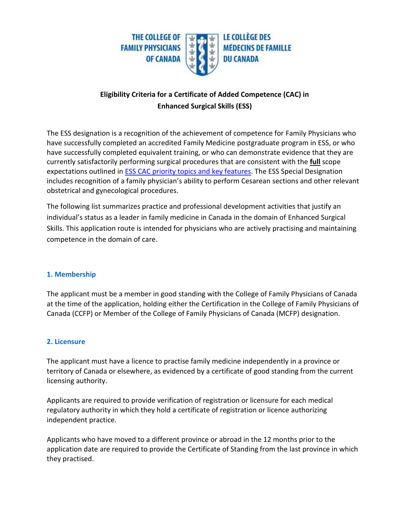

# **Eligibility Criteria for a Certificate of Added Competence (CAC) in Enhanced Surgical Skills (ESS)**

The ESS designation is a recognition of the achievement of competence for Family Physicians who have successfully completed an accredited Family Medicine postgraduate program in ESS, or who have successfully completed equivalent training, or who can demonstrate evidence that they are currently satisfactorily performing surgical procedures that are consistent with the **full** scope expectations outlined in **ESS CAC priority topics and key features**. The ESS Special Designation includes recognition of a family physician's ability to perform Cesarean sections and other relevant obstetrical and gynecological procedures.

The following list summarizes practice and professional development activities that justify an individual's status as a leader in family medicine in Canada in the domain of Enhanced Surgical Skills. This application route is intended for physicians who are actively practising and maintaining competence in the domain of care.

### **1. Membership**

The applicant must be a member in good standing with the College of Family Physicians of Canada at the time of the application, holding either the Certification in the College of Family Physicians of Canada (CCFP) or Member of the College of Family Physicians of Canada (MCFP) designation.

#### **2. Licensure**

The applicant must have a licence to practise family medicine independently in a province or territory of Canada or elsewhere, as evidenced by a certificate of good standing from the current licensing authority.

Applicants are required to provide verification of registration or licensure for each medical regulatory authority in which they hold a certificate of registration or licence authorizing independent practice.

Applicants who have moved to a different province or abroad in the 12 months prior to the application date are required to provide the Certificate of Standing from the last province in which they practised.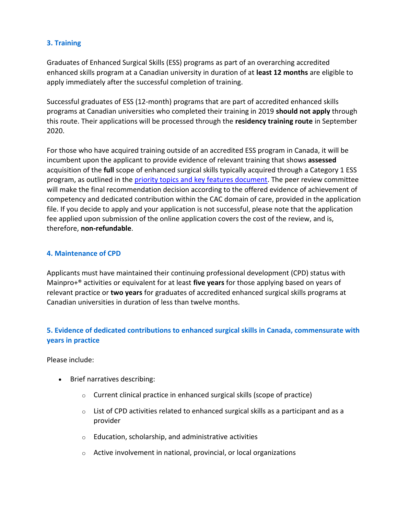### **3. Training**

Graduates of Enhanced Surgical Skills (ESS) programs as part of an overarching accredited enhanced skills program at a Canadian university in duration of at **least 12 months** are eligible to apply immediately after the successful completion of training.

Successful graduates of ESS (12-month) programs that are part of accredited enhanced skills programs at Canadian universities who completed their training in 2019 **should not apply** through this route. Their applications will be processed through the **residency training route** in September 2020.

For those who have acquired training outside of an accredited ESS program in Canada, it will be incumbent upon the applicant to provide evidence of relevant training that shows **assessed** acquisition of the **full** scope of enhanced surgical skills typically acquired through a Category 1 ESS program, as outlined in the [priority topics and key features document.](https://www.cfpc.ca/uploadedFiles/Education/ESS-Priority-Topics-Key-Features-EN-20190917.pdf) The peer review committee will make the final recommendation decision according to the offered evidence of achievement of competency and dedicated contribution within the CAC domain of care, provided in the application file. If you decide to apply and your application is not successful, please note that the application fee applied upon submission of the online application covers the cost of the review, and is, therefore, **non-refundable**.

### **4. Maintenance of CPD**

Applicants must have maintained their continuing professional development (CPD) status with Mainpro+® activities or equivalent for at least **five years** for those applying based on years of relevant practice or **two years** for graduates of accredited enhanced surgical skills programs at Canadian universities in duration of less than twelve months.

## **5. Evidence of dedicated contributions to enhanced surgical skills in Canada, commensurate with years in practice**

Please include:

- Brief narratives describing:
	- o Current clinical practice in enhanced surgical skills (scope of practice)
	- $\circ$  List of CPD activities related to enhanced surgical skills as a participant and as a provider
	- o Education, scholarship, and administrative activities
	- o Active involvement in national, provincial, or local organizations